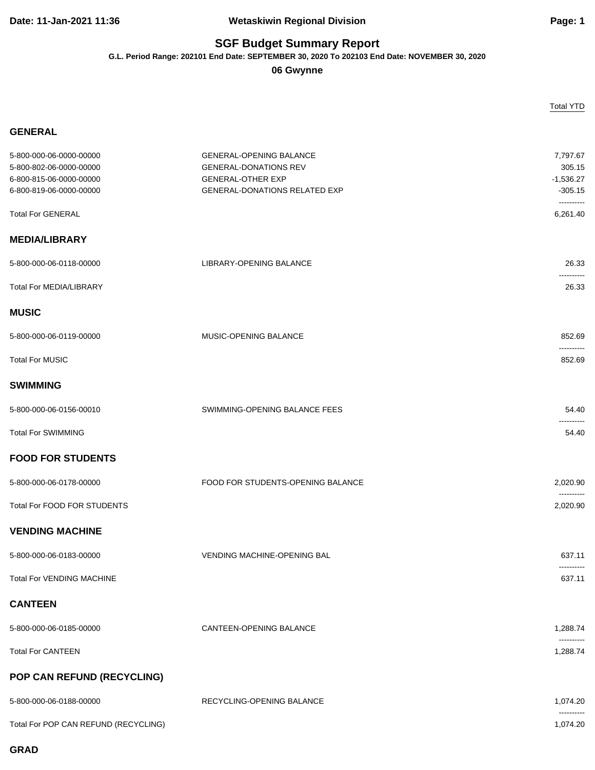## **Date: 11-Jan-2021 11:36 Wetaskiwin Regional Division Page: 1**

## **SGF Budget Summary Report**

**G.L. Period Range: 202101 End Date: SEPTEMBER 30, 2020 To 202103 End Date: NOVEMBER 30, 2020**

**06 Gwynne**

|                                                                                                          |                                                                                                                                    | <b>Total YTD</b>                                             |
|----------------------------------------------------------------------------------------------------------|------------------------------------------------------------------------------------------------------------------------------------|--------------------------------------------------------------|
| <b>GENERAL</b>                                                                                           |                                                                                                                                    |                                                              |
| 5-800-000-06-0000-00000<br>5-800-802-06-0000-00000<br>6-800-815-06-0000-00000<br>6-800-819-06-0000-00000 | <b>GENERAL-OPENING BALANCE</b><br><b>GENERAL-DONATIONS REV</b><br><b>GENERAL-OTHER EXP</b><br><b>GENERAL-DONATIONS RELATED EXP</b> | 7,797.67<br>305.15<br>$-1,536.27$<br>$-305.15$<br>---------- |
| <b>Total For GENERAL</b>                                                                                 |                                                                                                                                    | 6,261.40                                                     |
| <b>MEDIA/LIBRARY</b>                                                                                     |                                                                                                                                    |                                                              |
| 5-800-000-06-0118-00000                                                                                  | LIBRARY-OPENING BALANCE                                                                                                            | 26.33                                                        |
| <b>Total For MEDIA/LIBRARY</b>                                                                           |                                                                                                                                    | ----------<br>26.33                                          |
| <b>MUSIC</b>                                                                                             |                                                                                                                                    |                                                              |
| 5-800-000-06-0119-00000                                                                                  | MUSIC-OPENING BALANCE                                                                                                              | 852.69                                                       |
| <b>Total For MUSIC</b>                                                                                   |                                                                                                                                    | ----------<br>852.69                                         |
| <b>SWIMMING</b>                                                                                          |                                                                                                                                    |                                                              |
| 5-800-000-06-0156-00010                                                                                  | SWIMMING-OPENING BALANCE FEES                                                                                                      | 54.40                                                        |
| <b>Total For SWIMMING</b>                                                                                |                                                                                                                                    | 54.40                                                        |
| <b>FOOD FOR STUDENTS</b>                                                                                 |                                                                                                                                    |                                                              |
| 5-800-000-06-0178-00000                                                                                  | FOOD FOR STUDENTS-OPENING BALANCE                                                                                                  | 2,020.90                                                     |
| <b>Total For FOOD FOR STUDENTS</b>                                                                       |                                                                                                                                    | ----------<br>2,020.90                                       |
| <b>VENDING MACHINE</b>                                                                                   |                                                                                                                                    |                                                              |
| 5-800-000-06-0183-00000                                                                                  | <b>VENDING MACHINE-OPENING BAL</b>                                                                                                 | 637.11                                                       |
| <b>Total For VENDING MACHINE</b>                                                                         |                                                                                                                                    | ----------<br>637.11                                         |
| <b>CANTEEN</b>                                                                                           |                                                                                                                                    |                                                              |
| 5-800-000-06-0185-00000                                                                                  | <b>CANTEEN-OPENING BALANCE</b>                                                                                                     | 1,288.74                                                     |
| <b>Total For CANTEEN</b>                                                                                 |                                                                                                                                    | ----------<br>1,288.74                                       |
| POP CAN REFUND (RECYCLING)                                                                               |                                                                                                                                    |                                                              |
| 5-800-000-06-0188-00000                                                                                  | RECYCLING-OPENING BALANCE                                                                                                          | 1,074.20                                                     |
| Total For POP CAN REFUND (RECYCLING)                                                                     |                                                                                                                                    | ----------<br>1,074.20                                       |